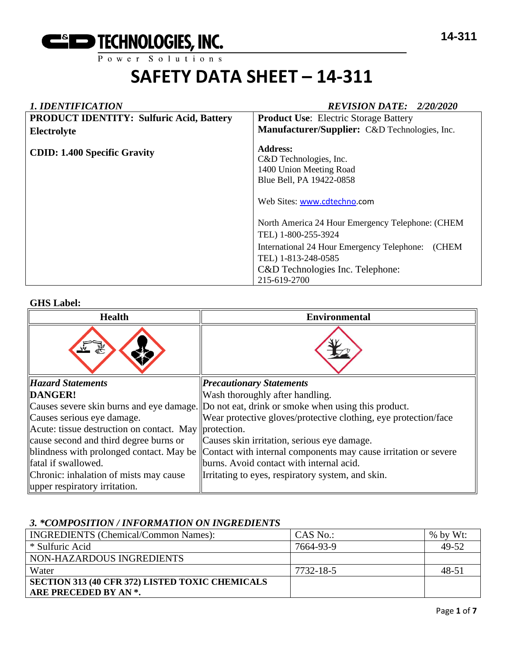

#### *1. IDENTIFICATION REVISION DATE: 2/20/2020* **PRODUCT IDENTITY: Sulfuric Acid, Battery Electrolyte CDID: 1.400 Specific Gravity Product Use**: Electric Storage Battery **Manufacturer/Supplier:** C&D Technologies, Inc. **Address:**  C&D Technologies, Inc. 1400 Union Meeting Road Blue Bell, PA 19422-0858 Web Sites: [www.cdtechno.](http://www.cdtechno/)com North America 24 Hour Emergency Telephone: (CHEM TEL) 1-800-255-3924 International 24 Hour Emergency Telephone: (CHEM TEL) 1-813-248-0585 C&D Technologies Inc. Telephone: 215-619-2700

#### **GHS Label:**

| <b>Health</b>                                         | <b>Environmental</b>                                                                         |
|-------------------------------------------------------|----------------------------------------------------------------------------------------------|
|                                                       |                                                                                              |
| <b>Hazard Statements</b>                              | <b>Precautionary Statements</b>                                                              |
| DANGER!                                               | Wash thoroughly after handling.                                                              |
|                                                       | Causes severe skin burns and eye damage. Do not eat, drink or smoke when using this product. |
| Causes serious eye damage.                            | Wear protective gloves/protective clothing, eye protection/face                              |
| Acute: tissue destruction on contact. May protection. |                                                                                              |
| cause second and third degree burns or                | Causes skin irritation, serious eye damage.                                                  |
| blindness with prolonged contact. May be              | Contact with internal components may cause irritation or severe                              |
| fatal if swallowed.                                   | burns. Avoid contact with internal acid.                                                     |
| Chronic: inhalation of mists may cause                | Irritating to eyes, respiratory system, and skin.                                            |
| upper respiratory irritation.                         |                                                                                              |

#### *3. \*COMPOSITION / INFORMATION ON INGREDIENTS*

| <b>INGREDIENTS</b> (Chemical/Common Names):     | CAS No.:  | $%$ by Wt: |
|-------------------------------------------------|-----------|------------|
| * Sulfuric Acid                                 | 7664-93-9 | 49-52      |
| NON-HAZARDOUS INGREDIENTS                       |           |            |
| Water                                           | 7732-18-5 | $48 - 51$  |
| SECTION 313 (40 CFR 372) LISTED TOXIC CHEMICALS |           |            |
| ARE PRECEDED BY AN *.                           |           |            |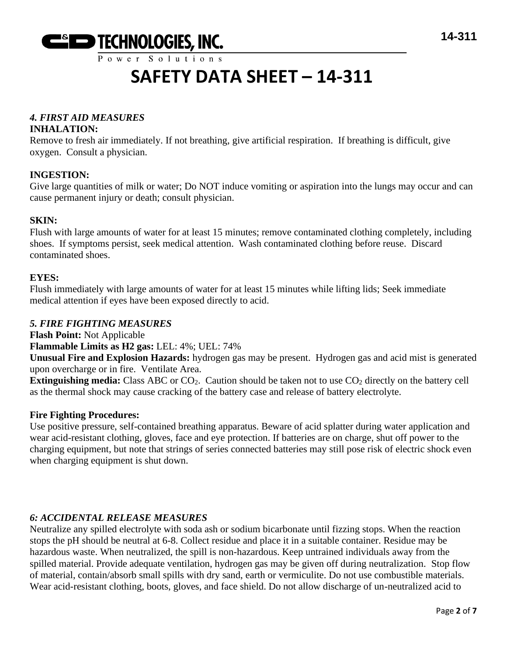

### *4. FIRST AID MEASURES*

#### **INHALATION:**

Remove to fresh air immediately. If not breathing, give artificial respiration. If breathing is difficult, give oxygen. Consult a physician.

#### **INGESTION:**

Give large quantities of milk or water; Do NOT induce vomiting or aspiration into the lungs may occur and can cause permanent injury or death; consult physician.

#### **SKIN:**

Flush with large amounts of water for at least 15 minutes; remove contaminated clothing completely, including shoes. If symptoms persist, seek medical attention. Wash contaminated clothing before reuse. Discard contaminated shoes.

#### **EYES:**

Flush immediately with large amounts of water for at least 15 minutes while lifting lids; Seek immediate medical attention if eyes have been exposed directly to acid.

#### *5. FIRE FIGHTING MEASURES*

**Flash Point:** Not Applicable

**Flammable Limits as H2 gas:** LEL: 4%; UEL: 74%

**Unusual Fire and Explosion Hazards:** hydrogen gas may be present. Hydrogen gas and acid mist is generated upon overcharge or in fire. Ventilate Area.

**Extinguishing media:** Class ABC or CO<sub>2</sub>. Caution should be taken not to use CO<sub>2</sub> directly on the battery cell as the thermal shock may cause cracking of the battery case and release of battery electrolyte.

#### **Fire Fighting Procedures:**

Use positive pressure, self-contained breathing apparatus. Beware of acid splatter during water application and wear acid-resistant clothing, gloves, face and eye protection. If batteries are on charge, shut off power to the charging equipment, but note that strings of series connected batteries may still pose risk of electric shock even when charging equipment is shut down.

#### *6: ACCIDENTAL RELEASE MEASURES*

Neutralize any spilled electrolyte with soda ash or sodium bicarbonate until fizzing stops. When the reaction stops the pH should be neutral at 6-8. Collect residue and place it in a suitable container. Residue may be hazardous waste. When neutralized, the spill is non-hazardous. Keep untrained individuals away from the spilled material. Provide adequate ventilation, hydrogen gas may be given off during neutralization. Stop flow of material, contain/absorb small spills with dry sand, earth or vermiculite. Do not use combustible materials. Wear acid-resistant clothing, boots, gloves, and face shield. Do not allow discharge of un-neutralized acid to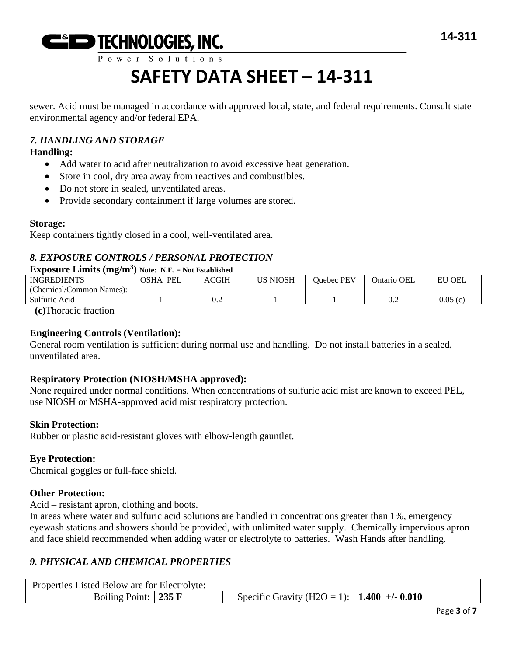

### $P$  ower Solutions

# **SAFETY DATA SHEET – 14-311**

sewer. Acid must be managed in accordance with approved local, state, and federal requirements. Consult state environmental agency and/or federal EPA.

### *7. HANDLING AND STORAGE*

#### **Handling:**

- Add water to acid after neutralization to avoid excessive heat generation.
- Store in cool, dry area away from reactives and combustibles.
- Do not store in sealed, unventilated areas.
- Provide secondary containment if large volumes are stored.

#### **Storage:**

Keep containers tightly closed in a cool, well-ventilated area.

### *8. EXPOSURE CONTROLS / PERSONAL PROTECTION*

#### **Exposure Limits (mg/m<sup>3</sup> ) Note: N.E. = Not Established**

| <b>INGREDIENTS</b>       | <b>PEL</b><br>OSHA | ACGIH | <b>US NIOSH</b> | Ouebec PEV | Ontario OEL | <b>EU OEL</b> |
|--------------------------|--------------------|-------|-----------------|------------|-------------|---------------|
| (Chemical/Common Names): |                    |       |                 |            |             |               |
| Sulfuric Acid            |                    | 0.2   |                 |            | v.∠         | 0.05(c)       |

**(c)**Thoracic fraction

#### **Engineering Controls (Ventilation):**

General room ventilation is sufficient during normal use and handling. Do not install batteries in a sealed, unventilated area.

#### **Respiratory Protection (NIOSH/MSHA approved):**

None required under normal conditions. When concentrations of sulfuric acid mist are known to exceed PEL, use NIOSH or MSHA-approved acid mist respiratory protection.

#### **Skin Protection:**

Rubber or plastic acid-resistant gloves with elbow-length gauntlet.

#### **Eye Protection:**

Chemical goggles or full-face shield.

#### **Other Protection:**

Acid – resistant apron, clothing and boots.

In areas where water and sulfuric acid solutions are handled in concentrations greater than 1%, emergency eyewash stations and showers should be provided, with unlimited water supply. Chemically impervious apron and face shield recommended when adding water or electrolyte to batteries. Wash Hands after handling.

#### *9. PHYSICAL AND CHEMICAL PROPERTIES*

| Properties Listed Below are for Electrolyte: |  |                                                      |  |  |
|----------------------------------------------|--|------------------------------------------------------|--|--|
| Boiling Point: $\vert$ 235 F                 |  | Specific Gravity (H2O = 1):   <b>1.400</b> +/- 0.010 |  |  |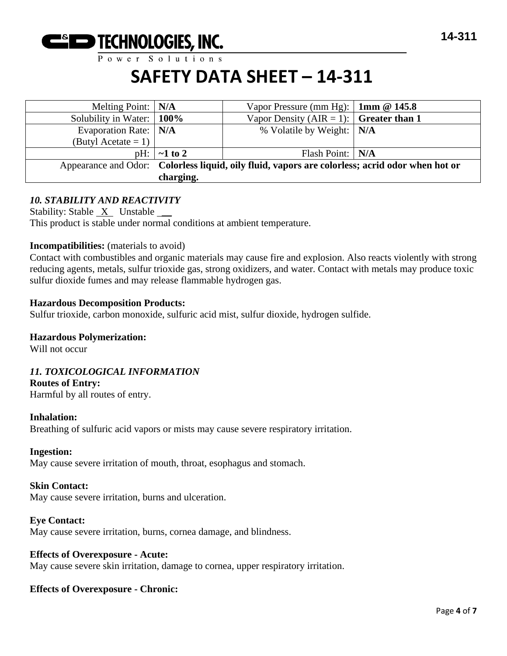

Power Solutions

### **SAFETY DATA SHEET – 14-311**

| Melting Point: $\vert N/A \vert$ |                                                                                                 | Vapor Pressure (mm Hg): $\vert$ 1mm @ 145.8    |  |
|----------------------------------|-------------------------------------------------------------------------------------------------|------------------------------------------------|--|
| Solubility in Water:   100%      |                                                                                                 | Vapor Density (AIR = 1): $\int$ Greater than 1 |  |
| Evaporation Rate:   N/A          |                                                                                                 | % Volatile by Weight:   N/A                    |  |
| (Butyl Acetate = 1) $\vert$      |                                                                                                 |                                                |  |
|                                  | $pH: \vert \sim 1$ to 2                                                                         | Flash Point:   N/A                             |  |
|                                  | Appearance and Odor: Colorless liquid, oily fluid, vapors are colorless; acrid odor when hot or |                                                |  |
|                                  | charging.                                                                                       |                                                |  |

#### *10. STABILITY AND REACTIVITY*

Stability: Stable  $X$  Unstable  $\_\_\_\$ This product is stable under normal conditions at ambient temperature.

#### **Incompatibilities:** (materials to avoid)

Contact with combustibles and organic materials may cause fire and explosion. Also reacts violently with strong reducing agents, metals, sulfur trioxide gas, strong oxidizers, and water. Contact with metals may produce toxic sulfur dioxide fumes and may release flammable hydrogen gas.

#### **Hazardous Decomposition Products:**

Sulfur trioxide, carbon monoxide, sulfuric acid mist, sulfur dioxide, hydrogen sulfide.

#### **Hazardous Polymerization:**

Will not occur

#### *11. TOXICOLOGICAL INFORMATION*

#### **Routes of Entry:**

Harmful by all routes of entry.

#### **Inhalation:**

Breathing of sulfuric acid vapors or mists may cause severe respiratory irritation.

#### **Ingestion:**

May cause severe irritation of mouth, throat, esophagus and stomach.

#### **Skin Contact:**

May cause severe irritation, burns and ulceration.

#### **Eye Contact:**

May cause severe irritation, burns, cornea damage, and blindness.

#### **Effects of Overexposure - Acute:**

May cause severe skin irritation, damage to cornea, upper respiratory irritation.

#### **Effects of Overexposure - Chronic:**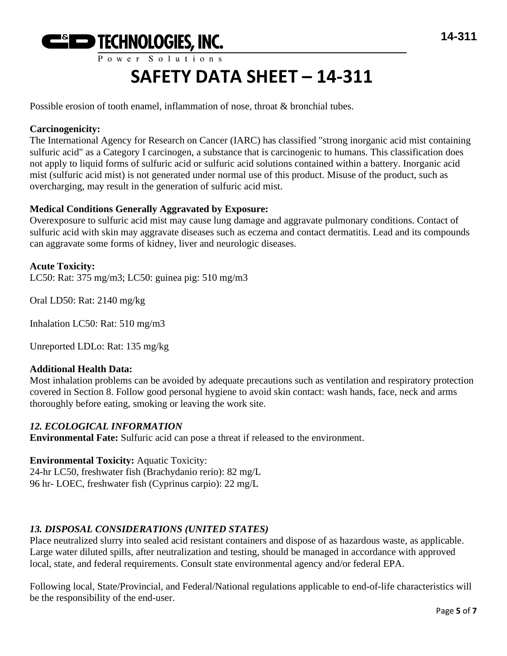

Possible erosion of tooth enamel, inflammation of nose, throat & bronchial tubes.

#### **Carcinogenicity:**

The International Agency for Research on Cancer (IARC) has classified "strong inorganic acid mist containing sulfuric acid" as a Category I carcinogen, a substance that is carcinogenic to humans. This classification does not apply to liquid forms of sulfuric acid or sulfuric acid solutions contained within a battery. Inorganic acid mist (sulfuric acid mist) is not generated under normal use of this product. Misuse of the product, such as overcharging, may result in the generation of sulfuric acid mist.

#### **Medical Conditions Generally Aggravated by Exposure:**

Overexposure to sulfuric acid mist may cause lung damage and aggravate pulmonary conditions. Contact of sulfuric acid with skin may aggravate diseases such as eczema and contact dermatitis. Lead and its compounds can aggravate some forms of kidney, liver and neurologic diseases.

**Acute Toxicity:** LC50: Rat: 375 mg/m3; LC50: guinea pig: 510 mg/m3

Oral LD50: Rat: 2140 mg/kg

Inhalation LC50: Rat: 510 mg/m3

Unreported LDLo: Rat: 135 mg/kg

#### **Additional Health Data:**

Most inhalation problems can be avoided by adequate precautions such as ventilation and respiratory protection covered in Section 8. Follow good personal hygiene to avoid skin contact: wash hands, face, neck and arms thoroughly before eating, smoking or leaving the work site.

#### *12. ECOLOGICAL INFORMATION*

**Environmental Fate:** Sulfuric acid can pose a threat if released to the environment.

#### **Environmental Toxicity:** Aquatic Toxicity:

24-hr LC50, freshwater fish (Brachydanio rerio): 82 mg/L 96 hr- LOEC, freshwater fish (Cyprinus carpio): 22 mg/L

#### *13. DISPOSAL CONSIDERATIONS (UNITED STATES)*

Place neutralized slurry into sealed acid resistant containers and dispose of as hazardous waste, as applicable. Large water diluted spills, after neutralization and testing, should be managed in accordance with approved local, state, and federal requirements. Consult state environmental agency and/or federal EPA.

Following local, State/Provincial, and Federal/National regulations applicable to end-of-life characteristics will be the responsibility of the end-user.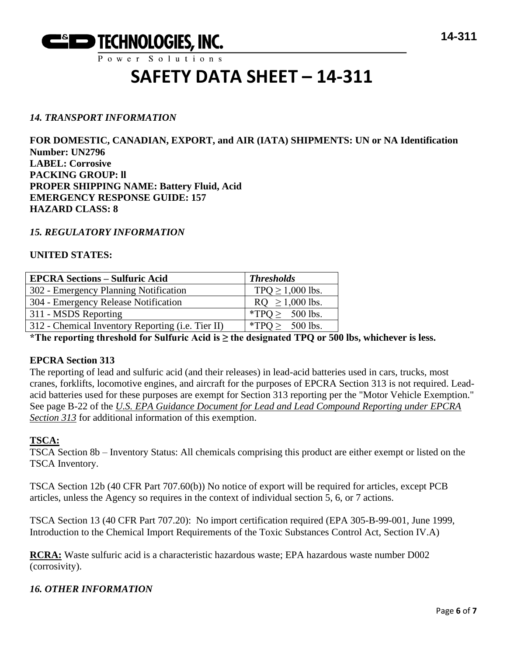

#### *14. TRANSPORT INFORMATION*

**FOR DOMESTIC, CANADIAN, EXPORT, and AIR (IATA) SHIPMENTS: UN or NA Identification Number: UN2796 LABEL: Corrosive PACKING GROUP: ll PROPER SHIPPING NAME: Battery Fluid, Acid EMERGENCY RESPONSE GUIDE: 157 HAZARD CLASS: 8**

#### *15. REGULATORY INFORMATION*

#### **UNITED STATES:**

| <b>EPCRA Sections - Sulfuric Acid</b>             | <b>Thresholds</b>     |
|---------------------------------------------------|-----------------------|
| 302 - Emergency Planning Notification             | TPQ $\geq$ 1,000 lbs. |
| 304 - Emergency Release Notification              | $RQ \ge 1,000$ lbs.   |
| 311 - MSDS Reporting                              | *TPQ $\geq$ 500 lbs.  |
| 312 - Chemical Inventory Reporting (i.e. Tier II) | *TPO > $500$ lbs.     |

**\*The reporting threshold for Sulfuric Acid is ≥ the designated TPQ or 500 lbs, whichever is less.**

#### **EPCRA Section 313**

The reporting of lead and sulfuric acid (and their releases) in lead-acid batteries used in cars, trucks, most cranes, forklifts, locomotive engines, and aircraft for the purposes of EPCRA Section 313 is not required. Leadacid batteries used for these purposes are exempt for Section 313 reporting per the "Motor Vehicle Exemption." See page B-22 of the *U.S. EPA Guidance Document for Lead and Lead Compound Reporting under EPCRA Section 313* for additional information of this exemption.

#### **TSCA:**

TSCA Section 8b – Inventory Status: All chemicals comprising this product are either exempt or listed on the TSCA Inventory.

TSCA Section 12b (40 CFR Part 707.60(b)) No notice of export will be required for articles, except PCB articles, unless the Agency so requires in the context of individual section 5, 6, or 7 actions.

TSCA Section 13 (40 CFR Part 707.20): No import certification required (EPA 305-B-99-001, June 1999, Introduction to the Chemical Import Requirements of the Toxic Substances Control Act, Section IV.A)

**RCRA:** Waste sulfuric acid is a characteristic hazardous waste; EPA hazardous waste number D002 (corrosivity).

#### *16. OTHER INFORMATION*